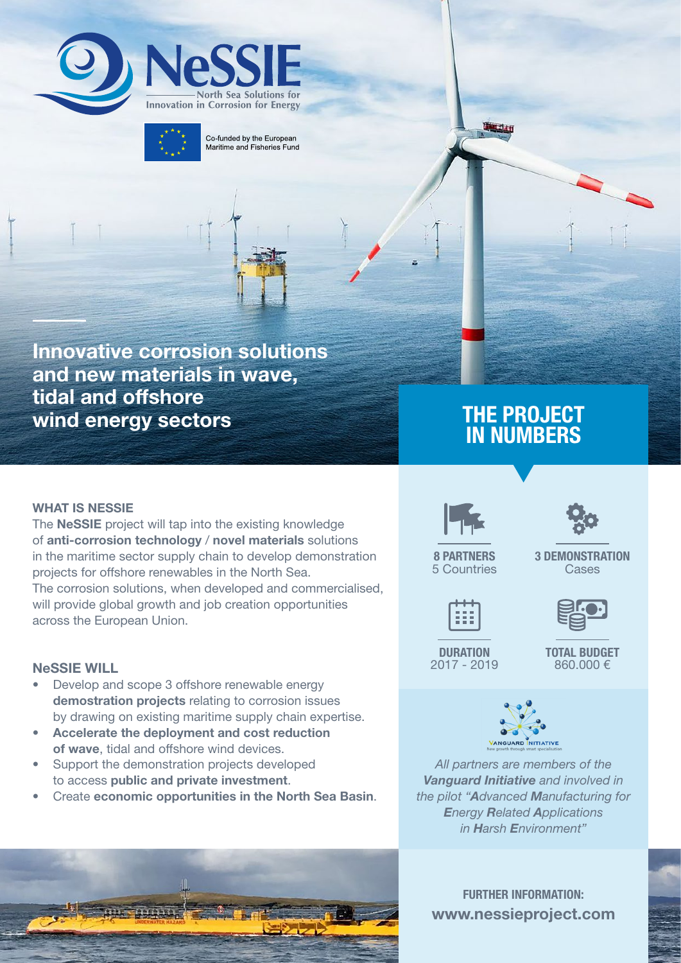



Co-funded by the European Maritime and Fisheries Fund

Innovative corrosion solutions and new materials in wave, tidal and offshore wind energy sectors

THE PROJECT IN NUMBERS

**Tarden** 

#### WHAT IS NESSIE

The NeSSIE project will tap into the existing knowledge of anti-corrosion technology / novel materials solutions in the maritime sector supply chain to develop demonstration projects for offshore renewables in the North Sea. The corrosion solutions, when developed and commercialised, will provide global growth and job creation opportunities across the European Union.

#### NeSSIE WILL

- Develop and scope 3 offshore renewable energy demostration projects relating to corrosion issues by drawing on existing maritime supply chain expertise.
- Accelerate the deployment and cost reduction of wave, tidal and offshore wind devices.
- Support the demonstration projects developed to access public and private investment.
- Create economic opportunities in the North Sea Basin.





3 DEMONSTRATION Cases



8 PARTNERS 5 Countries

**DURATION** 2017 - 2019 TOTAL BUDGET 860.000 €



*All partners are members of the Vanguard Initiative and involved in the pilot "Advanced Manufacturing for Energy Related Applications in Harsh Environment"*



FURTHER INFORMATION: www.nessieproject.com